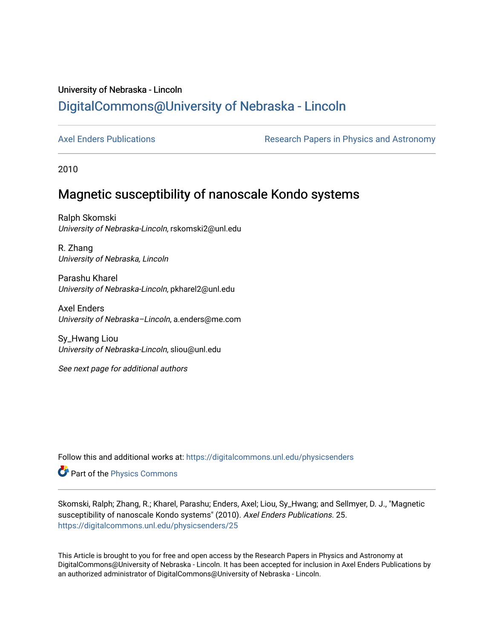# University of Nebraska - Lincoln [DigitalCommons@University of Nebraska - Lincoln](https://digitalcommons.unl.edu/)

[Axel Enders Publications](https://digitalcommons.unl.edu/physicsenders) **Research Papers in Physics and Astronomy** 

2010

# Magnetic susceptibility of nanoscale Kondo systems

Ralph Skomski University of Nebraska-Lincoln, rskomski2@unl.edu

R. Zhang University of Nebraska, Lincoln

Parashu Kharel University of Nebraska-Lincoln, pkharel2@unl.edu

Axel Enders University of Nebraska–Lincoln, a.enders@me.com

Sy\_Hwang Liou University of Nebraska-Lincoln, sliou@unl.edu

See next page for additional authors

Follow this and additional works at: [https://digitalcommons.unl.edu/physicsenders](https://digitalcommons.unl.edu/physicsenders?utm_source=digitalcommons.unl.edu%2Fphysicsenders%2F25&utm_medium=PDF&utm_campaign=PDFCoverPages) 

Part of the [Physics Commons](http://network.bepress.com/hgg/discipline/193?utm_source=digitalcommons.unl.edu%2Fphysicsenders%2F25&utm_medium=PDF&utm_campaign=PDFCoverPages)

Skomski, Ralph; Zhang, R.; Kharel, Parashu; Enders, Axel; Liou, Sy\_Hwang; and Sellmyer, D. J., "Magnetic susceptibility of nanoscale Kondo systems" (2010). Axel Enders Publications. 25. [https://digitalcommons.unl.edu/physicsenders/25](https://digitalcommons.unl.edu/physicsenders/25?utm_source=digitalcommons.unl.edu%2Fphysicsenders%2F25&utm_medium=PDF&utm_campaign=PDFCoverPages)

This Article is brought to you for free and open access by the Research Papers in Physics and Astronomy at DigitalCommons@University of Nebraska - Lincoln. It has been accepted for inclusion in Axel Enders Publications by an authorized administrator of DigitalCommons@University of Nebraska - Lincoln.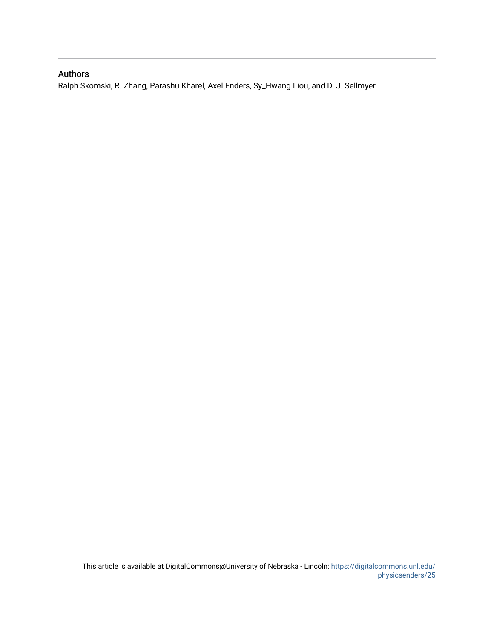# Authors

Ralph Skomski, R. Zhang, Parashu Kharel, Axel Enders, Sy\_Hwang Liou, and D. J. Sellmyer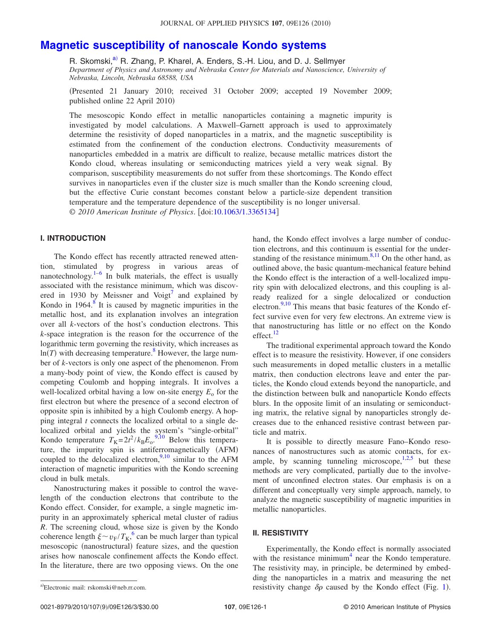# **[Magnetic susceptibility of nanoscale Kondo systems](http://dx.doi.org/10.1063/1.3365134)**

R. Skomski,<sup>a)</sup> R. Zhang, P. Kharel, A. Enders, S.-H. Liou, and D. J. Sellmyer *Department of Physics and Astronomy and Nebraska Center for Materials and Nanoscience, University of Nebraska, Lincoln, Nebraska 68588, USA*

Presented 21 January 2010; received 31 October 2009; accepted 19 November 2009; published online 22 April 2010)

The mesoscopic Kondo effect in metallic nanoparticles containing a magnetic impurity is investigated by model calculations. A Maxwell–Garnett approach is used to approximately determine the resistivity of doped nanoparticles in a matrix, and the magnetic susceptibility is estimated from the confinement of the conduction electrons. Conductivity measurements of nanoparticles embedded in a matrix are difficult to realize, because metallic matrices distort the Kondo cloud, whereas insulating or semiconducting matrices yield a very weak signal. By comparison, susceptibility measurements do not suffer from these shortcomings. The Kondo effect survives in nanoparticles even if the cluster size is much smaller than the Kondo screening cloud, but the effective Curie constant becomes constant below a particle-size dependent transition temperature and the temperature dependence of the susceptibility is no longer universal. © *2010 American Institute of Physics*. doi[:10.1063/1.3365134](http://dx.doi.org/10.1063/1.3365134)

## **I. INTRODUCTION**

The Kondo effect has recently attracted renewed attention, stimulated by progress in various areas of nanotechnology. $\frac{1}{6}$  $\frac{1}{6}$  $\frac{1}{6}$  In bulk materials, the effect is usually associated with the resistance minimum, which was discov-ered in 1930 by Meissner and Voigt<sup>[7](#page-4-2)</sup> and explained by Kondo in  $1964<sup>8</sup>$  It is caused by magnetic impurities in the metallic host, and its explanation involves an integration over all *k*-vectors of the host's conduction electrons. This *k*-space integration is the reason for the occurrence of the logarithmic term governing the resistivity, which increases as  $ln(T)$  with decreasing temperature.<sup>8</sup> However, the large number of *k*-vectors is only one aspect of the phenomenon. From a many-body point of view, the Kondo effect is caused by competing Coulomb and hopping integrals. It involves a well-localized orbital having a low on-site energy  $E_0$  for the first electron but where the presence of a second electron of opposite spin is inhibited by a high Coulomb energy. A hopping integral *t* connects the localized orbital to a single delocalized orbital and yields the system's "single-orbital" Kondo temperature  $T_K = 2t^2 / k_B E_o$ .<sup>[9,](#page-4-4)[10](#page-4-5)</sup> Below this temperature, the impurity spin is antiferromagnetically (AFM) coupled to the delocalized electron,  $9,10$  $9,10$  similar to the AFM interaction of magnetic impurities with the Kondo screening cloud in bulk metals.

Nanostructuring makes it possible to control the wavelength of the conduction electrons that contribute to the Kondo effect. Consider, for example, a single magnetic impurity in an approximately spherical metal cluster of radius *R*. The screening cloud, whose size is given by the Kondo coherence length  $\xi \sim v_F / T_K$ ,  $\frac{6}{3}$  $\frac{6}{3}$  $\frac{6}{3}$  can be much larger than typical mesoscopic (nanostructural) feature sizes, and the question arises how nanoscale confinement affects the Kondo effect. In the literature, there are two opposing views. On the one hand, the Kondo effect involves a large number of conduction electrons, and this continuum is essential for the understanding of the resistance minimum. $8,11$  $8,11$  On the other hand, as outlined above, the basic quantum-mechanical feature behind the Kondo effect is the interaction of a well-localized impurity spin with delocalized electrons, and this coupling is already realized for a single delocalized or conduction electron. $9,10$  $9,10$  This means that basic features of the Kondo effect survive even for very few electrons. An extreme view is that nanostructuring has little or no effect on the Kondo effect.<sup>[12](#page-4-7)</sup>

The traditional experimental approach toward the Kondo effect is to measure the resistivity. However, if one considers such measurements in doped metallic clusters in a metallic matrix, then conduction electrons leave and enter the particles, the Kondo cloud extends beyond the nanoparticle, and the distinction between bulk and nanoparticle Kondo effects blurs. In the opposite limit of an insulating or semiconducting matrix, the relative signal by nanoparticles strongly decreases due to the enhanced resistive contrast between particle and matrix.

It is possible to directly measure Fano–Kondo resonances of nanostructures such as atomic contacts, for example, by scanning tunneling microscope,  $\frac{1,2,5}{1,2,5}$  $\frac{1,2,5}{1,2,5}$  $\frac{1,2,5}{1,2,5}$  $\frac{1,2,5}{1,2,5}$  but these methods are very complicated, partially due to the involvement of unconfined electron states. Our emphasis is on a different and conceptually very simple approach, namely, to analyze the magnetic susceptibility of magnetic impurities in metallic nanoparticles.

#### **II. RESISTIVITY**

Experimentally, the Kondo effect is normally associated with the resistance minimum<sup>4</sup> near the Kondo temperature. The resistivity may, in principle, be determined by embedding the nanoparticles in a matrix and measuring the net a) Electronic mail: rskomski@neb.rr.com. The resistivity change  $\delta \rho$  caused by the Kondo effect (Fig. [1](#page-3-0)).

Electronic mail: rskomski@neb.rr.com.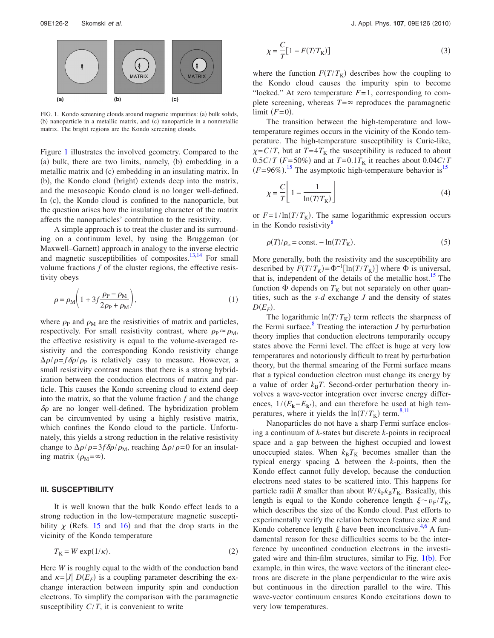<span id="page-3-0"></span>

FIG. 1. Kondo screening clouds around magnetic impurities: (a) bulk solids, (b) nanoparticle in a metallic matrix, and (c) nanoparticle in a nonmetallic matrix. The bright regions are the Kondo screening clouds.

Figure [1](#page-3-0) illustrates the involved geometry. Compared to the (a) bulk, there are two limits, namely, (b) embedding in a metallic matrix and (c) embedding in an insulating matrix. In (b), the Kondo cloud (bright) extends deep into the matrix, and the mesoscopic Kondo cloud is no longer well-defined. In (c), the Kondo cloud is confined to the nanoparticle, but the question arises how the insulating character of the matrix affects the nanoparticles' contribution to the resistivity.

A simple approach is to treat the cluster and its surrounding on a continuum level, by using the Bruggeman (or Maxwell-Garnett) approach in analogy to the inverse electric and magnetic susceptibilities of composites. $13,14$  $13,14$  For small volume fractions *f* of the cluster regions, the effective resistivity obeys

$$
\rho = \rho_{\rm M} \left( 1 + 3f \frac{\rho_{\rm P} - \rho_{\rm M}}{2\rho_{\rm P} + \rho_{\rm M}} \right),\tag{1}
$$

where  $\rho_P$  and  $\rho_M$  are the resistivities of matrix and particles, respectively. For small resistivity contrast, where  $\rho_P \approx \rho_M$ , the effective resistivity is equal to the volume-averaged resistivity and the corresponding Kondo resistivity change  $\Delta \rho / \rho = f \delta \rho / \rho_{\rm P}$  is relatively easy to measure. However, a small resistivity contrast means that there is a strong hybridization between the conduction electrons of matrix and particle. This causes the Kondo screening cloud to extend deep into the matrix, so that the volume fraction  $f$  and the change  $\delta \rho$  are no longer well-defined. The hybridization problem can be circumvented by using a highly resistive matrix, which confines the Kondo cloud to the particle. Unfortunately, this yields a strong reduction in the relative resistivity change to  $\Delta \rho / \rho = 3f \delta \rho / \rho_M$ , reaching  $\Delta \rho / \rho = 0$  for an insulating matrix  $(\rho_M = \infty)$ .

### **III. SUSCEPTIBILITY**

It is well known that the bulk Kondo effect leads to a strong reduction in the low-temperature magnetic susceptibility  $\chi$  (Refs. [15](#page-4-13) and [16](#page-4-14)) and that the drop starts in the vicinity of the Kondo temperature

$$
T_{\rm K} = W \exp(1/\kappa). \tag{2}
$$

Here *W* is roughly equal to the width of the conduction band and  $\kappa = |J| D(E_F)$  is a coupling parameter describing the exchange interaction between impurity spin and conduction electrons. To simplify the comparison with the paramagnetic susceptibility  $C/T$ , it is convenient to write

$$
\chi = \frac{C}{T} \left[ 1 - F(T/T_{\text{K}}) \right] \tag{3}
$$

where the function  $F(T/T_K)$  describes how the coupling to the Kondo cloud causes the impurity spin to become "locked." At zero temperature  $F=1$ , corresponding to complete screening, whereas  $T = \infty$  reproduces the paramagnetic  $\lim$ it  $(F=0)$ .

The transition between the high-temperature and lowtemperature regimes occurs in the vicinity of the Kondo temperature. The high-temperature susceptibility is Curie-like,  $\chi$ =*C*/*T*, but at *T*=4*T*<sub>K</sub> the susceptibility is reduced to about  $0.5C/T$  ( $F = 50\%$ ) and at  $T = 0.1T<sub>K</sub>$  it reaches about  $0.04C/T$  $(F=96\%)$ <sup>[15](#page-4-13)</sup>. The asymptotic high-temperature behavior is<sup>15</sup>

<span id="page-3-1"></span>
$$
\chi = \frac{C}{T} \left[ 1 - \frac{1}{\ln(T/T_{\text{K}})} \right]
$$
\n(4)

or  $F = 1/\ln(T/T_K)$ . The same logarithmic expression occurs in the Kondo resistivity $\delta$ 

$$
\rho(T)/\rho_0 = \text{const.} - \ln(T/T_K). \tag{5}
$$

More generally, both the resistivity and the susceptibility are described by  $F(T/T_K) = \Phi^{-1}[\ln(T/T_K)]$  where  $\Phi$  is universal, that is, independent of the details of the metallic host.<sup>15</sup> The function  $\Phi$  depends on  $T_K$  but not separately on other quantities, such as the *s*-*d* exchange *J* and the density of states  $D(E_F)$ .

The logarithmic  $ln(T/T_K)$  term reflects the sharpness of the Fermi surface. $8$  Treating the interaction *J* by perturbation theory implies that conduction electrons temporarily occupy states above the Fermi level. The effect is huge at very low temperatures and notoriously difficult to treat by perturbation theory, but the thermal smearing of the Fermi surface means that a typical conduction electron must change its energy by a value of order  $k_B T$ . Second-order perturbation theory involves a wave-vector integration over inverse energy differences,  $1/(E_{\mathbf{k}}-E_{\mathbf{k}})$ , and can therefore be used at high temperatures, where it yields the  $ln(T/T_K)$  term.<sup>8,[11](#page-4-6)</sup>

Nanoparticles do not have a sharp Fermi surface enclosing a continuum of *k*-states but discrete *k*-points in reciprocal space and a gap between the highest occupied and lowest unoccupied states. When  $k_B T_K$  becomes smaller than the typical energy spacing  $\Delta$  between the *k*-points, then the Kondo effect cannot fully develop, because the conduction electrons need states to be scattered into. This happens for particle radii *R* smaller than about  $W/k_Fk_BT_K$ . Basically, this length is equal to the Kondo coherence length  $\xi \sim v_F / T_K$ , which describes the size of the Kondo cloud. Past efforts to experimentally verify the relation between feature size *R* and Kondo coherence length  $\xi$  have been inconclusive.<sup>[4](#page-4-10)[,6](#page-4-1)</sup> A fundamental reason for these difficulties seems to be the interference by unconfined conduction electrons in the investi-gated wire and thin-film structures, similar to Fig. [1](#page-3-0)(b). For example, in thin wires, the wave vectors of the itinerant electrons are discrete in the plane perpendicular to the wire axis but continuous in the direction parallel to the wire. This wave-vector continuum ensures Kondo excitations down to very low temperatures.